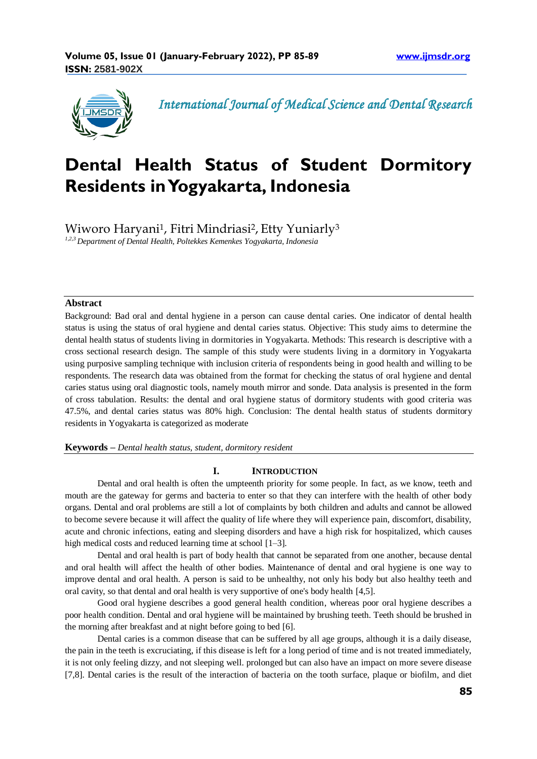

*International Journal of Medical Science and Dental Research*

# **Dental Health Status of Student Dormitory Residents in Yogyakarta, Indonesia**

Wiworo Haryani<sup>1</sup>, Fitri Mindriasi<sup>2</sup>, Etty Yuniarly<sup>3</sup>

*1,2,3 Department of Dental Health, Poltekkes Kemenkes Yogyakarta, Indonesia*

# **Abstract**

Background: Bad oral and dental hygiene in a person can cause dental caries. One indicator of dental health status is using the status of oral hygiene and dental caries status. Objective: This study aims to determine the dental health status of students living in dormitories in Yogyakarta. Methods: This research is descriptive with a cross sectional research design. The sample of this study were students living in a dormitory in Yogyakarta using purposive sampling technique with inclusion criteria of respondents being in good health and willing to be respondents. The research data was obtained from the format for checking the status of oral hygiene and dental caries status using oral diagnostic tools, namely mouth mirror and sonde. Data analysis is presented in the form of cross tabulation. Results: the dental and oral hygiene status of dormitory students with good criteria was 47.5%, and dental caries status was 80% high. Conclusion: The dental health status of students dormitory residents in Yogyakarta is categorized as moderate

**Keywords** *– Dental health status, student, dormitory resident*

### **I. INTRODUCTION**

Dental and oral health is often the umpteenth priority for some people. In fact, as we know, teeth and mouth are the gateway for germs and bacteria to enter so that they can interfere with the health of other body organs. Dental and oral problems are still a lot of complaints by both children and adults and cannot be allowed to become severe because it will affect the quality of life where they will experience pain, discomfort, disability, acute and chronic infections, eating and sleeping disorders and have a high risk for hospitalized, which causes high medical costs and reduced learning time at school [1–3].

Dental and oral health is part of body health that cannot be separated from one another, because dental and oral health will affect the health of other bodies. Maintenance of dental and oral hygiene is one way to improve dental and oral health. A person is said to be unhealthy, not only his body but also healthy teeth and oral cavity, so that dental and oral health is very supportive of one's body health [4,5].

Good oral hygiene describes a good general health condition, whereas poor oral hygiene describes a poor health condition. Dental and oral hygiene will be maintained by brushing teeth. Teeth should be brushed in the morning after breakfast and at night before going to bed [6].

Dental caries is a common disease that can be suffered by all age groups, although it is a daily disease, the pain in the teeth is excruciating, if this disease is left for a long period of time and is not treated immediately, it is not only feeling dizzy, and not sleeping well. prolonged but can also have an impact on more severe disease [7,8]. Dental caries is the result of the interaction of bacteria on the tooth surface, plaque or biofilm, and diet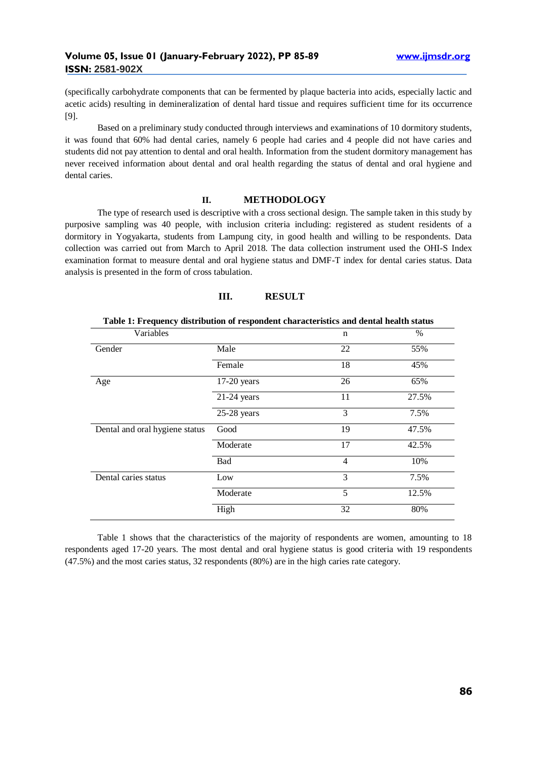(specifically carbohydrate components that can be fermented by plaque bacteria into acids, especially lactic and acetic acids) resulting in demineralization of dental hard tissue and requires sufficient time for its occurrence [9].

Based on a preliminary study conducted through interviews and examinations of 10 dormitory students, it was found that 60% had dental caries, namely 6 people had caries and 4 people did not have caries and students did not pay attention to dental and oral health. Information from the student dormitory management has never received information about dental and oral health regarding the status of dental and oral hygiene and dental caries.

## **II. METHODOLOGY**

The type of research used is descriptive with a cross sectional design. The sample taken in this study by purposive sampling was 40 people, with inclusion criteria including: registered as student residents of a dormitory in Yogyakarta, students from Lampung city, in good health and willing to be respondents. Data collection was carried out from March to April 2018. The data collection instrument used the OHI-S Index examination format to measure dental and oral hygiene status and DMF-T index for dental caries status. Data analysis is presented in the form of cross tabulation.

## **III. RESULT**

| Table 1: Frequency distribution of respondent characteristics and dental nearly status |               |                |       |  |  |  |  |
|----------------------------------------------------------------------------------------|---------------|----------------|-------|--|--|--|--|
| Variables                                                                              |               | n              | $\%$  |  |  |  |  |
| Gender                                                                                 | Male          | 22             | 55%   |  |  |  |  |
|                                                                                        | Female        | 18             | 45%   |  |  |  |  |
| Age                                                                                    | $17-20$ years | 26             | 65%   |  |  |  |  |
|                                                                                        | $21-24$ years | 11             | 27.5% |  |  |  |  |
|                                                                                        | $25-28$ years | 3              | 7.5%  |  |  |  |  |
| Dental and oral hygiene status                                                         | Good          | 19             | 47.5% |  |  |  |  |
|                                                                                        | Moderate      | 17             | 42.5% |  |  |  |  |
|                                                                                        | Bad           | $\overline{4}$ | 10%   |  |  |  |  |
| Dental caries status                                                                   | Low           | 3              | 7.5%  |  |  |  |  |
|                                                                                        | Moderate      | 5              | 12.5% |  |  |  |  |
|                                                                                        | High          | 32             | 80%   |  |  |  |  |

**Table 1: Frequency distribution of respondent characteristics and dental health status**

Table 1 shows that the characteristics of the majority of respondents are women, amounting to 18 respondents aged 17-20 years. The most dental and oral hygiene status is good criteria with 19 respondents (47.5%) and the most caries status, 32 respondents (80%) are in the high caries rate category.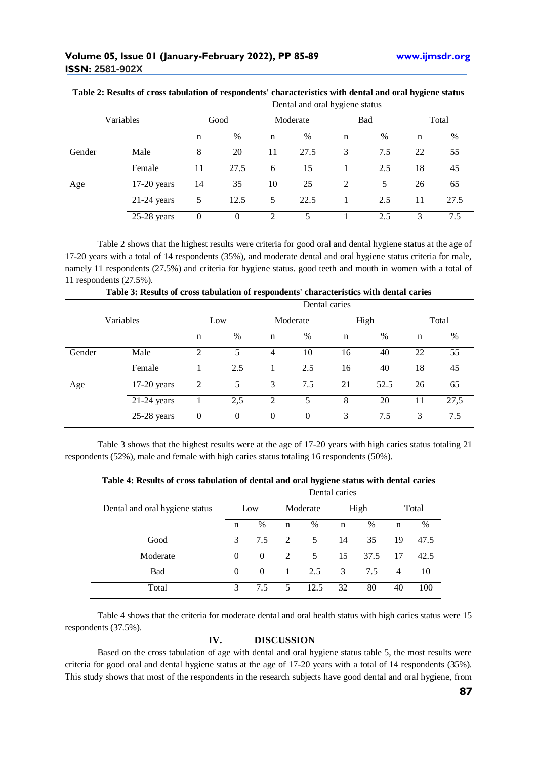|           |               | Dental and oral hygiene status |          |          |      |     |      |       |      |  |
|-----------|---------------|--------------------------------|----------|----------|------|-----|------|-------|------|--|
| Variables |               | Good                           |          | Moderate |      | Bad |      | Total |      |  |
|           |               | $\mathbf n$                    | $\%$     | n        | %    | n   | $\%$ | n     | $\%$ |  |
| Gender    | Male          | 8                              | 20       |          | 27.5 | 3   | 7.5  | 22    | 55   |  |
|           | Female        | 11                             | 27.5     | 6        | 15   |     | 2.5  | 18    | 45   |  |
| Age       | $17-20$ years | 14                             | 35       | 10       | 25   | 2   | 5    | 26    | 65   |  |
|           | $21-24$ years | 5                              | 12.5     | 5.       | 22.5 |     | 2.5  | 11    | 27.5 |  |
|           | $25-28$ years | 0                              | $\theta$ | 2        |      |     | 2.5  | 3     | 7.5  |  |

#### **Table 2: Results of cross tabulation of respondents' characteristics with dental and oral hygiene status**

Table 2 shows that the highest results were criteria for good oral and dental hygiene status at the age of 17-20 years with a total of 14 respondents (35%), and moderate dental and oral hygiene status criteria for male, namely 11 respondents (27.5%) and criteria for hygiene status. good teeth and mouth in women with a total of 11 respondents (27.5%).

|           |               | Dental caries    |          |                |          |             |      |             |      |  |  |
|-----------|---------------|------------------|----------|----------------|----------|-------------|------|-------------|------|--|--|
| Variables |               | Low              |          | Moderate       |          | High        |      | Total       |      |  |  |
|           |               | $\mathbf n$      | $\%$     | $\mathbf n$    | %        | $\mathbf n$ | %    | $\mathbf n$ | $\%$ |  |  |
| Gender    | Male          | $\overline{c}$   | 5        | $\overline{4}$ | 10       | 16          | 40   | 22          | 55   |  |  |
|           | Female        |                  | 2.5      |                | 2.5      | 16          | 40   | 18          | 45   |  |  |
| Age       | $17-20$ years | $\overline{2}$   | 5        | 3              | 7.5      | 21          | 52.5 | 26          | 65   |  |  |
|           | $21-24$ years |                  | 2,5      | 2              | 5        | 8           | 20   | 11          | 27,5 |  |  |
|           | 25-28 years   | $\boldsymbol{0}$ | $\Omega$ | $\theta$       | $\theta$ | 3           | 7.5  | 3           | 7.5  |  |  |

**Table 3: Results of cross tabulation of respondents' characteristics with dental caries**

Table 3 shows that the highest results were at the age of 17-20 years with high caries status totaling 21 respondents (52%), male and female with high caries status totaling 16 respondents (50%).

|  |  |  | Table 4: Results of cross tabulation of dental and oral hygiene status with dental caries |
|--|--|--|-------------------------------------------------------------------------------------------|
|--|--|--|-------------------------------------------------------------------------------------------|

|                                | Dental caries |          |                |      |      |      |                |      |
|--------------------------------|---------------|----------|----------------|------|------|------|----------------|------|
| Dental and oral hygiene status | Low           |          | Moderate       |      | High |      | Total          |      |
|                                | n             | $\%$     | n              | $\%$ | n    | $\%$ | n              | %    |
| Good                           | 3             | 7.5      | 2              | 5    | 14   | 35   | 19             | 47.5 |
| Moderate                       | $\Omega$      | $\Omega$ | $\mathfrak{D}$ | 5    | 15   | 37.5 | 17             | 42.5 |
| Bad                            | $\Omega$      | $\theta$ | -1             | 2.5  | 3    | 7.5  | $\overline{4}$ | 10   |
| Total                          | 3             | 7.5      | 5              | 12.5 | 32   | 80   | 40             | 100  |

Table 4 shows that the criteria for moderate dental and oral health status with high caries status were 15 respondents (37.5%).

# **IV. DISCUSSION**

Based on the cross tabulation of age with dental and oral hygiene status table 5, the most results were criteria for good oral and dental hygiene status at the age of 17-20 years with a total of 14 respondents (35%). This study shows that most of the respondents in the research subjects have good dental and oral hygiene, from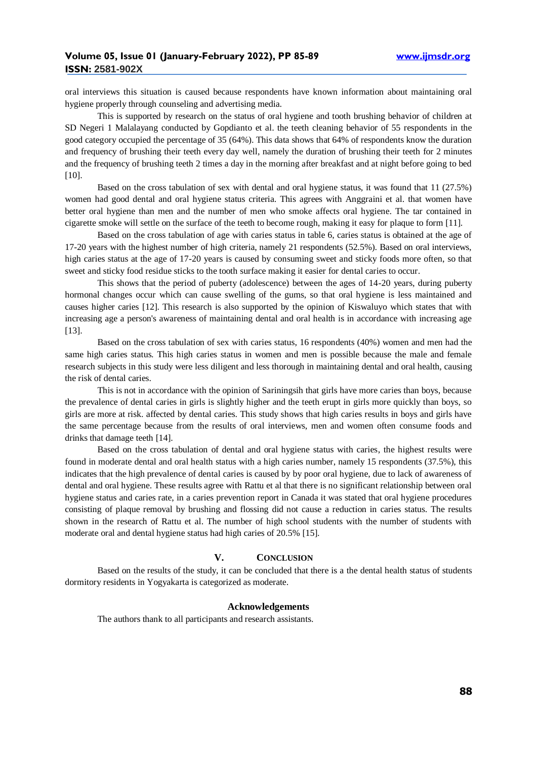oral interviews this situation is caused because respondents have known information about maintaining oral hygiene properly through counseling and advertising media.

This is supported by research on the status of oral hygiene and tooth brushing behavior of children at SD Negeri 1 Malalayang conducted by Gopdianto et al. the teeth cleaning behavior of 55 respondents in the good category occupied the percentage of 35 (64%). This data shows that 64% of respondents know the duration and frequency of brushing their teeth every day well, namely the duration of brushing their teeth for 2 minutes and the frequency of brushing teeth 2 times a day in the morning after breakfast and at night before going to bed [10].

Based on the cross tabulation of sex with dental and oral hygiene status, it was found that 11 (27.5%) women had good dental and oral hygiene status criteria. This agrees with Anggraini et al. that women have better oral hygiene than men and the number of men who smoke affects oral hygiene. The tar contained in cigarette smoke will settle on the surface of the teeth to become rough, making it easy for plaque to form [11].

Based on the cross tabulation of age with caries status in table 6, caries status is obtained at the age of 17-20 years with the highest number of high criteria, namely 21 respondents (52.5%). Based on oral interviews, high caries status at the age of 17-20 years is caused by consuming sweet and sticky foods more often, so that sweet and sticky food residue sticks to the tooth surface making it easier for dental caries to occur.

This shows that the period of puberty (adolescence) between the ages of 14-20 years, during puberty hormonal changes occur which can cause swelling of the gums, so that oral hygiene is less maintained and causes higher caries [12]. This research is also supported by the opinion of Kiswaluyo which states that with increasing age a person's awareness of maintaining dental and oral health is in accordance with increasing age [13].

Based on the cross tabulation of sex with caries status, 16 respondents (40%) women and men had the same high caries status. This high caries status in women and men is possible because the male and female research subjects in this study were less diligent and less thorough in maintaining dental and oral health, causing the risk of dental caries.

This is not in accordance with the opinion of Sariningsih that girls have more caries than boys, because the prevalence of dental caries in girls is slightly higher and the teeth erupt in girls more quickly than boys, so girls are more at risk. affected by dental caries. This study shows that high caries results in boys and girls have the same percentage because from the results of oral interviews, men and women often consume foods and drinks that damage teeth [14].

Based on the cross tabulation of dental and oral hygiene status with caries, the highest results were found in moderate dental and oral health status with a high caries number, namely 15 respondents (37.5%), this indicates that the high prevalence of dental caries is caused by by poor oral hygiene, due to lack of awareness of dental and oral hygiene. These results agree with Rattu et al that there is no significant relationship between oral hygiene status and caries rate, in a caries prevention report in Canada it was stated that oral hygiene procedures consisting of plaque removal by brushing and flossing did not cause a reduction in caries status. The results shown in the research of Rattu et al. The number of high school students with the number of students with moderate oral and dental hygiene status had high caries of 20.5% [15].

# **V. CONCLUSION**

Based on the results of the study, it can be concluded that there is a the dental health status of students dormitory residents in Yogyakarta is categorized as moderate.

## **Acknowledgements**

The authors thank to all participants and research assistants.